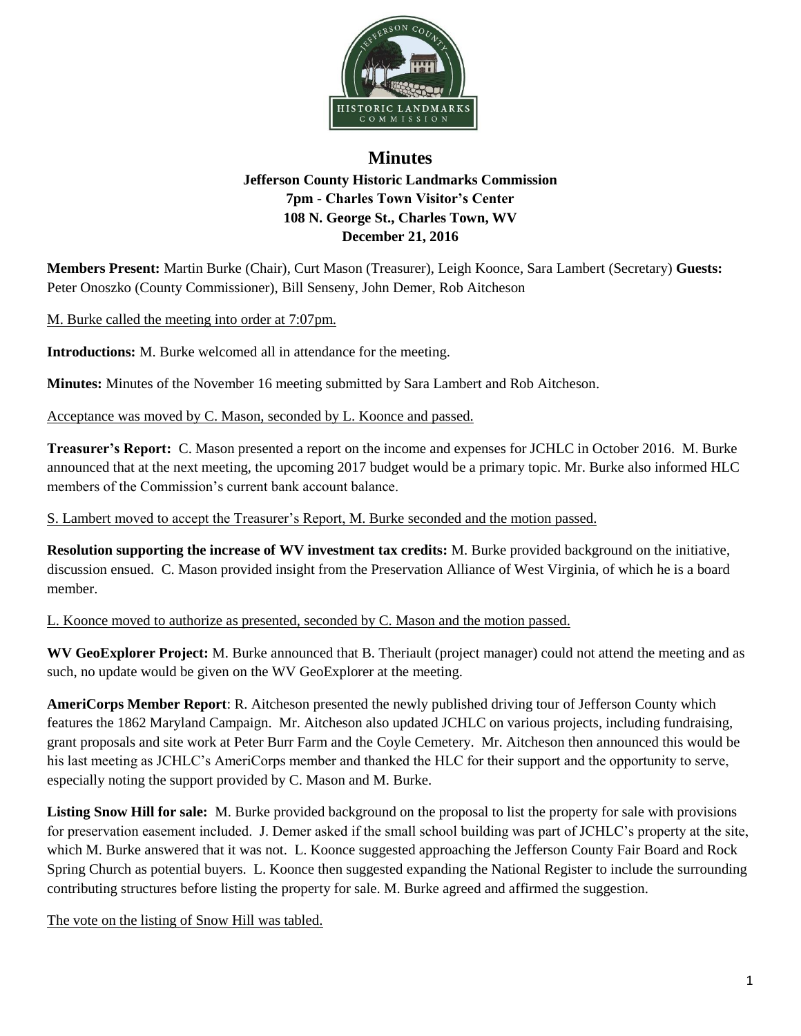

## **Minutes Jefferson County Historic Landmarks Commission 7pm - Charles Town Visitor's Center 108 N. George St., Charles Town, WV December 21, 2016**

**Members Present:** Martin Burke (Chair), Curt Mason (Treasurer), Leigh Koonce, Sara Lambert (Secretary) **Guests:** Peter Onoszko (County Commissioner), Bill Senseny, John Demer, Rob Aitcheson

M. Burke called the meeting into order at 7:07pm.

**Introductions:** M. Burke welcomed all in attendance for the meeting.

**Minutes:** Minutes of the November 16 meeting submitted by Sara Lambert and Rob Aitcheson.

Acceptance was moved by C. Mason, seconded by L. Koonce and passed.

**Treasurer's Report:** C. Mason presented a report on the income and expenses for JCHLC in October 2016. M. Burke announced that at the next meeting, the upcoming 2017 budget would be a primary topic. Mr. Burke also informed HLC members of the Commission's current bank account balance.

S. Lambert moved to accept the Treasurer's Report, M. Burke seconded and the motion passed.

**Resolution supporting the increase of WV investment tax credits:** M. Burke provided background on the initiative, discussion ensued. C. Mason provided insight from the Preservation Alliance of West Virginia, of which he is a board member.

L. Koonce moved to authorize as presented, seconded by C. Mason and the motion passed.

**WV GeoExplorer Project:** M. Burke announced that B. Theriault (project manager) could not attend the meeting and as such, no update would be given on the WV GeoExplorer at the meeting.

**AmeriCorps Member Report**: R. Aitcheson presented the newly published driving tour of Jefferson County which features the 1862 Maryland Campaign. Mr. Aitcheson also updated JCHLC on various projects, including fundraising, grant proposals and site work at Peter Burr Farm and the Coyle Cemetery. Mr. Aitcheson then announced this would be his last meeting as JCHLC's AmeriCorps member and thanked the HLC for their support and the opportunity to serve, especially noting the support provided by C. Mason and M. Burke.

**Listing Snow Hill for sale:** M. Burke provided background on the proposal to list the property for sale with provisions for preservation easement included. J. Demer asked if the small school building was part of JCHLC's property at the site, which M. Burke answered that it was not. L. Koonce suggested approaching the Jefferson County Fair Board and Rock Spring Church as potential buyers. L. Koonce then suggested expanding the National Register to include the surrounding contributing structures before listing the property for sale. M. Burke agreed and affirmed the suggestion.

The vote on the listing of Snow Hill was tabled.